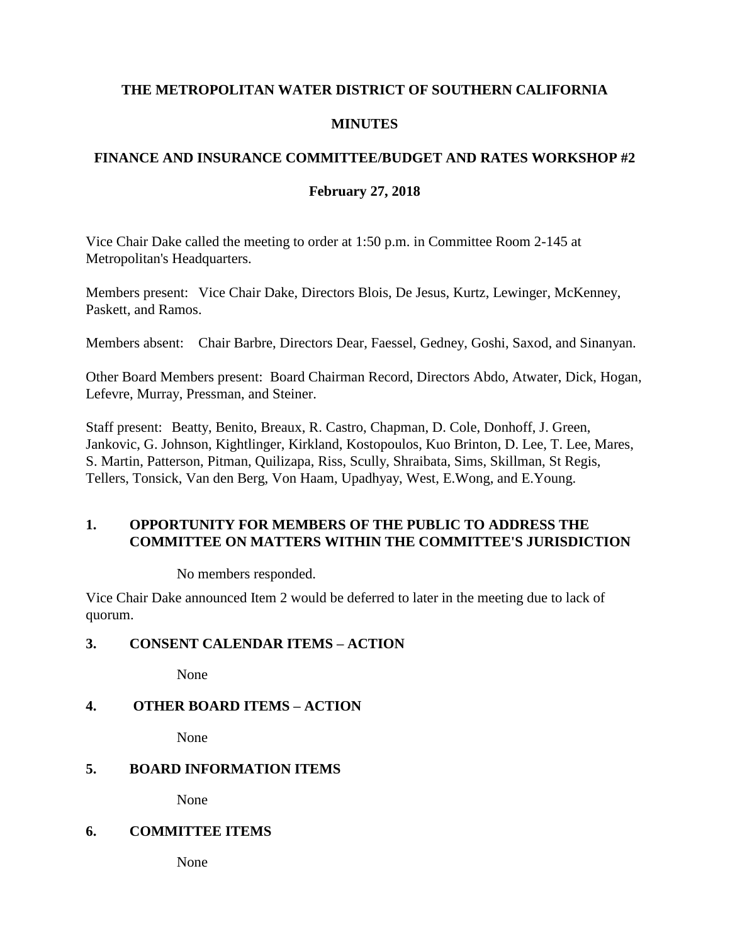### **THE METROPOLITAN WATER DISTRICT OF SOUTHERN CALIFORNIA**

### **MINUTES**

## **FINANCE AND INSURANCE COMMITTEE/BUDGET AND RATES WORKSHOP #2**

#### **February 27, 2018**

Vice Chair Dake called the meeting to order at 1:50 p.m. in Committee Room 2-145 at Metropolitan's Headquarters.

Members present: Vice Chair Dake, Directors Blois, De Jesus, Kurtz, Lewinger, McKenney, Paskett, and Ramos.

Members absent: Chair Barbre, Directors Dear, Faessel, Gedney, Goshi, Saxod, and Sinanyan.

Other Board Members present: Board Chairman Record, Directors Abdo, Atwater, Dick, Hogan, Lefevre, Murray, Pressman, and Steiner.

Staff present: Beatty, Benito, Breaux, R. Castro, Chapman, D. Cole, Donhoff, J. Green, Jankovic, G. Johnson, Kightlinger, Kirkland, Kostopoulos, Kuo Brinton, D. Lee, T. Lee, Mares, S. Martin, Patterson, Pitman, Quilizapa, Riss, Scully, Shraibata, Sims, Skillman, St Regis, Tellers, Tonsick, Van den Berg, Von Haam, Upadhyay, West, E.Wong, and E.Young.

## **1. OPPORTUNITY FOR MEMBERS OF THE PUBLIC TO ADDRESS THE COMMITTEE ON MATTERS WITHIN THE COMMITTEE'S JURISDICTION**

No members responded.

Vice Chair Dake announced Item 2 would be deferred to later in the meeting due to lack of quorum.

### **3. CONSENT CALENDAR ITEMS – ACTION**

None

## **4. OTHER BOARD ITEMS – ACTION**

None

## **5. BOARD INFORMATION ITEMS**

None

#### **6. COMMITTEE ITEMS**

None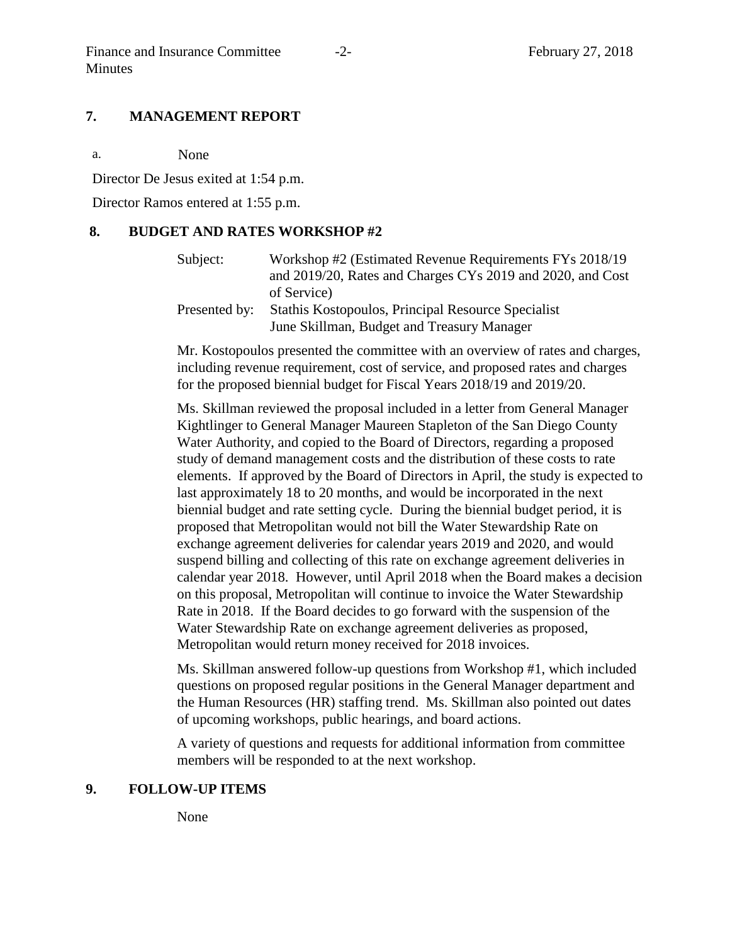#### **7. MANAGEMENT REPORT**

a. None

Director De Jesus exited at 1:54 p.m.

Director Ramos entered at 1:55 p.m.

#### **8. BUDGET AND RATES WORKSHOP #2**

| Subject:      | Workshop #2 (Estimated Revenue Requirements FYs 2018/19)   |
|---------------|------------------------------------------------------------|
|               | and 2019/20, Rates and Charges CYs 2019 and 2020, and Cost |
|               | of Service)                                                |
| Presented by: | Stathis Kostopoulos, Principal Resource Specialist         |
|               | June Skillman, Budget and Treasury Manager                 |

Mr. Kostopoulos presented the committee with an overview of rates and charges, including revenue requirement, cost of service, and proposed rates and charges for the proposed biennial budget for Fiscal Years 2018/19 and 2019/20.

Ms. Skillman reviewed the proposal included in a letter from General Manager Kightlinger to General Manager Maureen Stapleton of the San Diego County Water Authority, and copied to the Board of Directors, regarding a proposed study of demand management costs and the distribution of these costs to rate elements. If approved by the Board of Directors in April, the study is expected to last approximately 18 to 20 months, and would be incorporated in the next biennial budget and rate setting cycle. During the biennial budget period, it is proposed that Metropolitan would not bill the Water Stewardship Rate on exchange agreement deliveries for calendar years 2019 and 2020, and would suspend billing and collecting of this rate on exchange agreement deliveries in calendar year 2018. However, until April 2018 when the Board makes a decision on this proposal, Metropolitan will continue to invoice the Water Stewardship Rate in 2018. If the Board decides to go forward with the suspension of the Water Stewardship Rate on exchange agreement deliveries as proposed, Metropolitan would return money received for 2018 invoices.

Ms. Skillman answered follow-up questions from Workshop #1, which included questions on proposed regular positions in the General Manager department and the Human Resources (HR) staffing trend. Ms. Skillman also pointed out dates of upcoming workshops, public hearings, and board actions.

A variety of questions and requests for additional information from committee members will be responded to at the next workshop.

#### **9. FOLLOW-UP ITEMS**

None